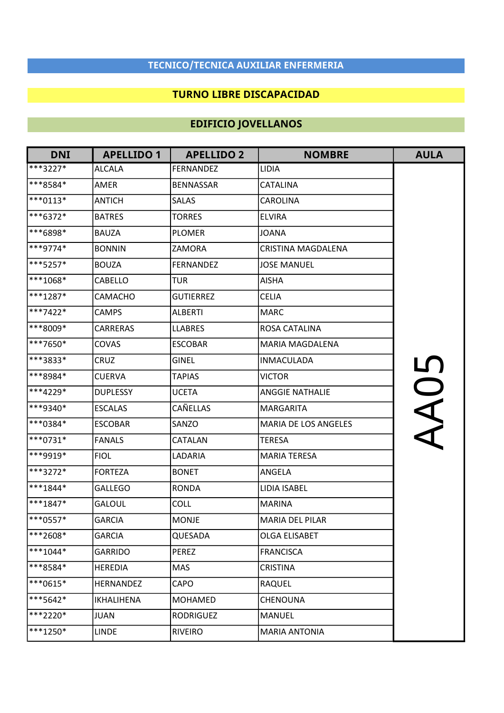### TECNICO/TECNICA AUXILIAR ENFERMERIA

#### TURNO LIBRE DISCAPACIDAD

# EDIFICIO JOVELLANOS

| <b>DNI</b>          | <b>APELLIDO 1</b> | <b>APELLIDO 2</b> | <b>NOMBRE</b>          | <b>AULA</b> |
|---------------------|-------------------|-------------------|------------------------|-------------|
| ***3227*            | <b>ALCALA</b>     | <b>FERNANDEZ</b>  | LIDIA                  |             |
| ***8584*            | AMER              | <b>BENNASSAR</b>  | CATALINA               |             |
| $ ***0113*$         | <b>ANTICH</b>     | <b>SALAS</b>      | CAROLINA               |             |
| $\sqrt{***6372*}$   | <b>BATRES</b>     | <b>TORRES</b>     | <b>ELVIRA</b>          |             |
| <sup>***6898*</sup> | <b>BAUZA</b>      | <b>PLOMER</b>     | <b>JOANA</b>           |             |
| $\sqrt{***9774*}$   | <b>BONNIN</b>     | <b>ZAMORA</b>     | CRISTINA MAGDALENA     |             |
| $***5257*$          | <b>BOUZA</b>      | <b>FERNANDEZ</b>  | <b>JOSE MANUEL</b>     |             |
| $***1068*$          | CABELLO           | <b>TUR</b>        | <b>AISHA</b>           |             |
| $ ***1287*$         | <b>CAMACHO</b>    | <b>GUTIERREZ</b>  | <b>CELIA</b>           |             |
| ***7422*            | <b>CAMPS</b>      | <b>ALBERTI</b>    | <b>MARC</b>            |             |
| $* * 8009*$         | CARRERAS          | <b>LLABRES</b>    | ROSA CATALINA          |             |
| $**7650*$           | COVAS             | <b>ESCOBAR</b>    | <b>MARIA MAGDALENA</b> |             |
| <sup>***3833*</sup> | <b>CRUZ</b>       | <b>GINEL</b>      | <b>INMACULADA</b>      | <u>LN</u>   |
| <sup>***8984*</sup> | <b>CUERVA</b>     | <b>TAPIAS</b>     | <b>VICTOR</b>          |             |
| $\sqrt{***4229*}$   | <b>DUPLESSY</b>   | <b>UCETA</b>      | <b>ANGGIE NATHALIE</b> | $\subset$   |
| ***9340*            | <b>ESCALAS</b>    | <b>CAÑELLAS</b>   | MARGARITA              |             |
| <sup>***0384*</sup> | <b>ESCOBAR</b>    | SANZO             | MARIA DE LOS ANGELES   |             |
| $\sqrt{***0731*}$   | <b>FANALS</b>     | CATALAN           | <b>TERESA</b>          |             |
| <sup>***9919*</sup> | <b>FIOL</b>       | LADARIA           | <b>MARIA TERESA</b>    |             |
| $***3272*$          | <b>FORTEZA</b>    | <b>BONET</b>      | ANGELA                 |             |
| $\sqrt{***1844*}$   | <b>GALLEGO</b>    | <b>RONDA</b>      | LIDIA ISABEL           |             |
| $\sqrt{***1847*}$   | <b>GALOUL</b>     | <b>COLL</b>       | <b>MARINA</b>          |             |
| <sup>***0557*</sup> | <b>GARCIA</b>     | MONJE             | <b>MARIA DEL PILAR</b> |             |
| $**2608*$           | <b>GARCIA</b>     | <b>QUESADA</b>    | OLGA ELISABET          |             |
| $ ***1044*$         | GARRIDO           | PEREZ             | <b>FRANCISCA</b>       |             |
| $***8584*$          | <b>HEREDIA</b>    | <b>MAS</b>        | <b>CRISTINA</b>        |             |
| $\sqrt{***0615*}$   | HERNANDEZ         | <b>CAPO</b>       | <b>RAQUEL</b>          |             |
| $***5642*$          | IKHALIHENA        | <b>MOHAMED</b>    | CHENOUNA               |             |
| $**2220*$           | JUAN              | <b>RODRIGUEZ</b>  | <b>MANUEL</b>          |             |
| $ ***1250*$         | <b>LINDE</b>      | <b>RIVEIRO</b>    | <b>MARIA ANTONIA</b>   |             |